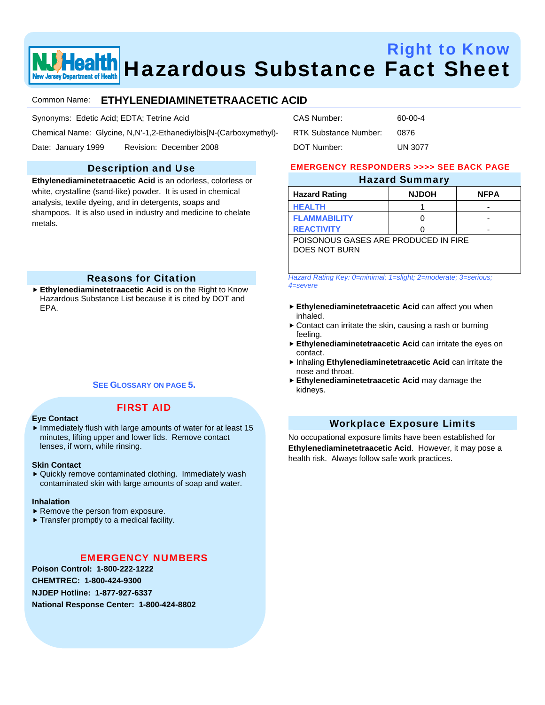

# Right to Know Health Hazardous Substance Fact Sheet

# Common Name: **ETHYLENEDIAMINETETRAACETIC ACID**

Synonyms: Edetic Acid; EDTA; Tetrine Acid

Chemical Name: Glycine, N,N'-1,2-Ethanediylbis[N-(Carboxymethyl)-

Date: January 1999 Revision: December 2008

# Description and Use

**Ethylenediaminetetraacetic Acid** is an odorless, colorless or white, crystalline (sand-like) powder. It is used in chemical analysis, textile dyeing, and in detergents, soaps and shampoos. It is also used in industry and medicine to chelate metals.

# Reasons for Citation

**Ethylenediaminetetraacetic Acid** is on the Right to Know Hazardous Substance List because it is cited by DOT and EPA.

# **SEE GLOSSARY ON PAGE 5.**

# FIRST AID

- **Eye Contact**
- $\blacktriangleright$  Immediately flush with large amounts of water for at least 15 minutes, lifting upper and lower lids. Remove contact lenses, if worn, while rinsing.

#### **Skin Contact**

 $\blacktriangleright$  Quickly remove contaminated clothing. Immediately wash contaminated skin with large amounts of soap and water.

#### **Inhalation**

- $\blacktriangleright$  Remove the person from exposure.
- $\blacktriangleright$  Transfer promptly to a medical facility.

# EMERGENCY NUMBERS

**Poison Control: 1-800-222-1222 CHEMTREC: 1-800-424-9300 NJDEP Hotline: 1-877-927-6337 National Response Center: 1-800-424-8802** 

| CAS Number:           | 60-00-4        |
|-----------------------|----------------|
| RTK Substance Number: | 0876           |
| DOT Number:           | <b>UN 3077</b> |

#### EMERGENCY RESPONDERS >>>> SEE BACK PAGE

# Hazard Summary

| <b>Hazard Rating</b>                 | <b>NJDOH</b> | <b>NFPA</b> |
|--------------------------------------|--------------|-------------|
| <b>HEALTH</b>                        |              |             |
| <b>FLAMMABILITY</b>                  |              | -           |
| <b>REACTIVITY</b>                    |              | -           |
| POISONOUS GASES ARE PRODUCED IN FIRE |              |             |

DOES NOT BURN

*Hazard Rating Key: 0=minimal; 1=slight; 2=moderate; 3=serious; 4=severe*

- **Ethylenediaminetetraacetic Acid** can affect you when inhaled.
- $\triangleright$  Contact can irritate the skin, causing a rash or burning feeling.
- **Ethylenediaminetetraacetic Acid** can irritate the eyes on contact.
- **hinaling Ethylenediaminetetraacetic Acid** can irritate the nose and throat.
- **Ethylenediaminetetraacetic Acid** may damage the kidneys.

# Workplace Exposure Limits

No occupational exposure limits have been established for **Ethylenediaminetetraacetic Acid**. However, it may pose a health risk. Always follow safe work practices.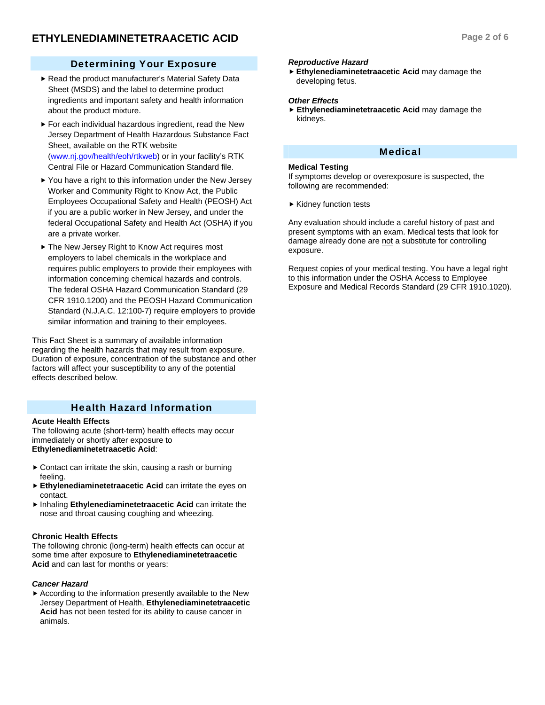# Determining Your Exposure

- Read the product manufacturer's Material Safety Data Sheet (MSDS) and the label to determine product ingredients and important safety and health information about the product mixture.
- $\blacktriangleright$  For each individual hazardous ingredient, read the New Jersey Department of Health Hazardous Substance Fact Sheet, available on the RTK website (www.nj.gov/health/eoh/rtkweb) or in your facility's RTK Central File or Hazard Communication Standard file.
- $\blacktriangleright$  You have a right to this information under the New Jersey Worker and Community Right to Know Act, the Public Employees Occupational Safety and Health (PEOSH) Act if you are a public worker in New Jersey, and under the federal Occupational Safety and Health Act (OSHA) if you are a private worker.
- ▶ The New Jersey Right to Know Act requires most employers to label chemicals in the workplace and requires public employers to provide their employees with information concerning chemical hazards and controls. The federal OSHA Hazard Communication Standard (29 CFR 1910.1200) and the PEOSH Hazard Communication Standard (N.J.A.C. 12:100-7) require employers to provide similar information and training to their employees.

This Fact Sheet is a summary of available information regarding the health hazards that may result from exposure. Duration of exposure, concentration of the substance and other factors will affect your susceptibility to any of the potential effects described below.

# Health Hazard Information

#### **Acute Health Effects**

The following acute (short-term) health effects may occur immediately or shortly after exposure to **Ethylenediaminetetraacetic Acid**:

- $\triangleright$  Contact can irritate the skin, causing a rash or burning feeling.
- **Ethylenediaminetetraacetic Acid** can irritate the eyes on contact.
- **hinaling Ethylenediaminetetraacetic Acid** can irritate the nose and throat causing coughing and wheezing.

#### **Chronic Health Effects**

The following chronic (long-term) health effects can occur at some time after exposure to **Ethylenediaminetetraacetic Acid** and can last for months or years:

#### *Cancer Hazard*

 $\blacktriangleright$  According to the information presently available to the New Jersey Department of Health, **Ethylenediaminetetraacetic Acid** has not been tested for its ability to cause cancer in animals.

#### *Reproductive Hazard*

**Ethylenediaminetetraacetic Acid** may damage the developing fetus.

#### *Other Effects*

**Ethylenediaminetetraacetic Acid** may damage the kidneys.

# Medical

#### **Medical Testing**

If symptoms develop or overexposure is suspected, the following are recommended:

 $\blacktriangleright$  Kidney function tests

Any evaluation should include a careful history of past and present symptoms with an exam. Medical tests that look for damage already done are not a substitute for controlling exposure.

Request copies of your medical testing. You have a legal right to this information under the OSHA Access to Employee Exposure and Medical Records Standard (29 CFR 1910.1020).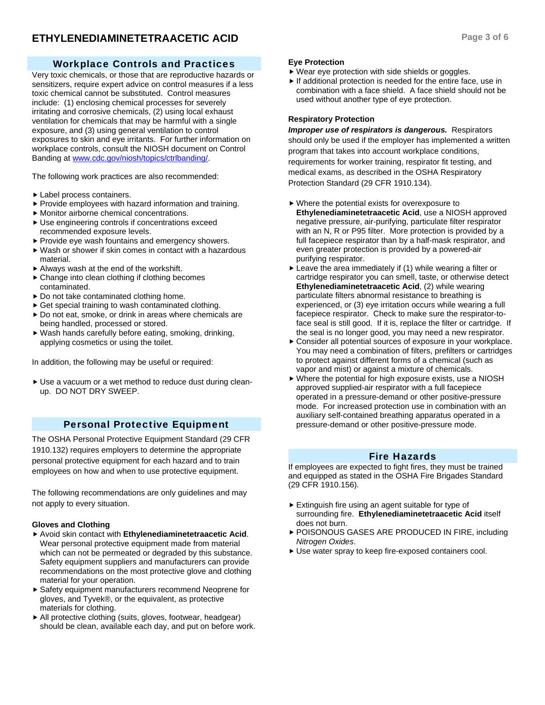# Workplace Controls and Practices

Very toxic chemicals, or those that are reproductive hazards or sensitizers, require expert advice on control measures if a less toxic chemical cannot be substituted. Control measures include: (1) enclosing chemical processes for severely irritating and corrosive chemicals, (2) using local exhaust ventilation for chemicals that may be harmful with a single exposure, and (3) using general ventilation to control exposures to skin and eye irritants. For further information on workplace controls, consult the NIOSH document on Control Banding at www.cdc.gov/niosh/topics/ctrlbanding/.

The following work practices are also recommended:

- $\blacktriangleright$  Label process containers.
- $\blacktriangleright$  Provide employees with hazard information and training.
- $\blacktriangleright$  Monitor airborne chemical concentrations.
- $\blacktriangleright$  Use engineering controls if concentrations exceed recommended exposure levels.
- $\blacktriangleright$  Provide eye wash fountains and emergency showers.
- $\blacktriangleright$  Wash or shower if skin comes in contact with a hazardous material.
- $\blacktriangleright$  Always wash at the end of the workshift.
- $\triangleright$  Change into clean clothing if clothing becomes contaminated.
- $\triangleright$  Do not take contaminated clothing home.
- $\triangleright$  Get special training to wash contaminated clothing.
- $\triangleright$  Do not eat, smoke, or drink in areas where chemicals are being handled, processed or stored.
- $\blacktriangleright$  Wash hands carefully before eating, smoking, drinking, applying cosmetics or using the toilet.

In addition, the following may be useful or required:

Use a vacuum or a wet method to reduce dust during cleanup. DO NOT DRY SWEEP.

# Personal Protective Equipment

The OSHA Personal Protective Equipment Standard (29 CFR 1910.132) requires employers to determine the appropriate personal protective equipment for each hazard and to train employees on how and when to use protective equipment.

The following recommendations are only guidelines and may not apply to every situation.

#### **Gloves and Clothing**

- ▶ Avoid skin contact with **Ethylenediaminetetraacetic Acid**. Wear personal protective equipment made from material which can not be permeated or degraded by this substance. Safety equipment suppliers and manufacturers can provide recommendations on the most protective glove and clothing material for your operation.
- ▶ Safety equipment manufacturers recommend Neoprene for gloves, and Tyvek®, or the equivalent, as protective materials for clothing.
- $\blacktriangleright$  All protective clothing (suits, gloves, footwear, headgear) should be clean, available each day, and put on before work.

#### **Eye Protection**

- $\blacktriangleright$  Wear eye protection with side shields or goggles.
- $\blacktriangleright$  If additional protection is needed for the entire face, use in combination with a face shield. A face shield should not be used without another type of eye protection.

### **Respiratory Protection**

*Improper use of respirators is dangerous.* Respirators should only be used if the employer has implemented a written program that takes into account workplace conditions, requirements for worker training, respirator fit testing, and medical exams, as described in the OSHA Respiratory Protection Standard (29 CFR 1910.134).

- $\triangleright$  Where the potential exists for overexposure to **Ethylenediaminetetraacetic Acid**, use a NIOSH approved negative pressure, air-purifying, particulate filter respirator with an N, R or P95 filter. More protection is provided by a full facepiece respirator than by a half-mask respirator, and even greater protection is provided by a powered-air purifying respirator.
- $\blacktriangleright$  Leave the area immediately if (1) while wearing a filter or cartridge respirator you can smell, taste, or otherwise detect **Ethylenediaminetetraacetic Acid**, (2) while wearing particulate filters abnormal resistance to breathing is experienced, or (3) eye irritation occurs while wearing a full facepiece respirator. Check to make sure the respirator-toface seal is still good. If it is, replace the filter or cartridge. If the seal is no longer good, you may need a new respirator.
- $\triangleright$  Consider all potential sources of exposure in your workplace. You may need a combination of filters, prefilters or cartridges to protect against different forms of a chemical (such as vapor and mist) or against a mixture of chemicals.
- $\blacktriangleright$  Where the potential for high exposure exists, use a NIOSH approved supplied-air respirator with a full facepiece operated in a pressure-demand or other positive-pressure mode. For increased protection use in combination with an auxiliary self-contained breathing apparatus operated in a pressure-demand or other positive-pressure mode.

# Fire Hazards

If employees are expected to fight fires, they must be trained and equipped as stated in the OSHA Fire Brigades Standard (29 CFR 1910.156).

- $\blacktriangleright$  Extinguish fire using an agent suitable for type of surrounding fire. **Ethylenediaminetetraacetic Acid** itself does not burn.
- **POISONOUS GASES ARE PRODUCED IN FIRE, including** *Nitrogen Oxides*.
- $\blacktriangleright$  Use water spray to keep fire-exposed containers cool.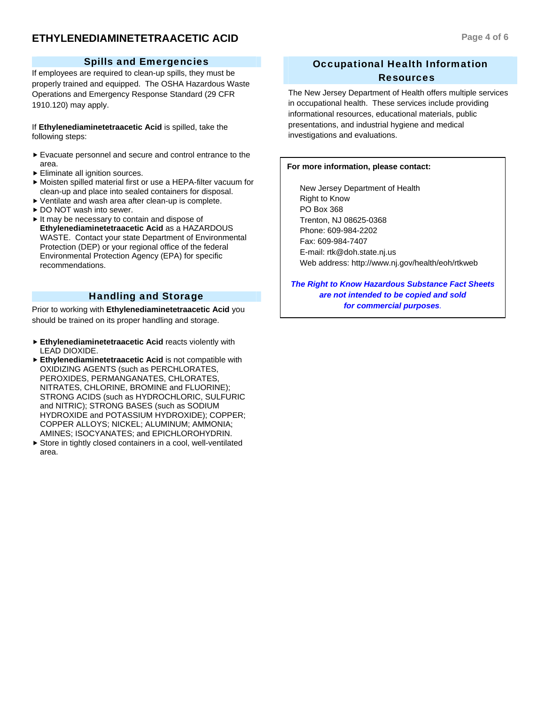# **ETHYLENEDIAMINETETRAACETIC ACID Page 4 of 6**

#### Spills and Emergencies

If employees are required to clean-up spills, they must be properly trained and equipped. The OSHA Hazardous Waste Operations and Emergency Response Standard (29 CFR 1910.120) may apply.

If **Ethylenediaminetetraacetic Acid** is spilled, take the following steps:

- $\blacktriangleright$  Evacuate personnel and secure and control entrance to the area.
- $\blacktriangleright$  Eliminate all ignition sources.
- $\triangleright$  Moisten spilled material first or use a HEPA-filter vacuum for clean-up and place into sealed containers for disposal.
- $\blacktriangleright$  Ventilate and wash area after clean-up is complete.
- ▶ DO NOT wash into sewer.
- $\blacktriangleright$  It may be necessary to contain and dispose of **Ethylenediaminetetraacetic Acid** as a HAZARDOUS WASTE. Contact your state Department of Environmental Protection (DEP) or your regional office of the federal Environmental Protection Agency (EPA) for specific recommendations.

# Handling and Storage

Prior to working with **Ethylenediaminetetraacetic Acid** you should be trained on its proper handling and storage.

- **Ethylenediaminetetraacetic Acid** reacts violently with LEAD DIOXIDE.
- **Ethylenediaminetetraacetic Acid** is not compatible with OXIDIZING AGENTS (such as PERCHLORATES, PEROXIDES, PERMANGANATES, CHLORATES, NITRATES, CHLORINE, BROMINE and FLUORINE); STRONG ACIDS (such as HYDROCHLORIC, SULFURIC and NITRIC); STRONG BASES (such as SODIUM HYDROXIDE and POTASSIUM HYDROXIDE); COPPER; COPPER ALLOYS; NICKEL; ALUMINUM; AMMONIA; AMINES; ISOCYANATES; and EPICHLOROHYDRIN.
- $\triangleright$  Store in tightly closed containers in a cool, well-ventilated area.

# Occupational Health Information Resources

The New Jersey Department of Health offers multiple services in occupational health. These services include providing informational resources, educational materials, public presentations, and industrial hygiene and medical investigations and evaluations.

#### **For more information, please contact:**

 New Jersey Department of Health Right to Know PO Box 368 Trenton, NJ 08625-0368 Phone: 609-984-2202 Fax: 609-984-7407 E-mail: rtk@doh.state.nj.us Web address: http://www.nj.gov/health/eoh/rtkweb

*The Right to Know Hazardous Substance Fact Sheets are not intended to be copied and sold for commercial purposes.*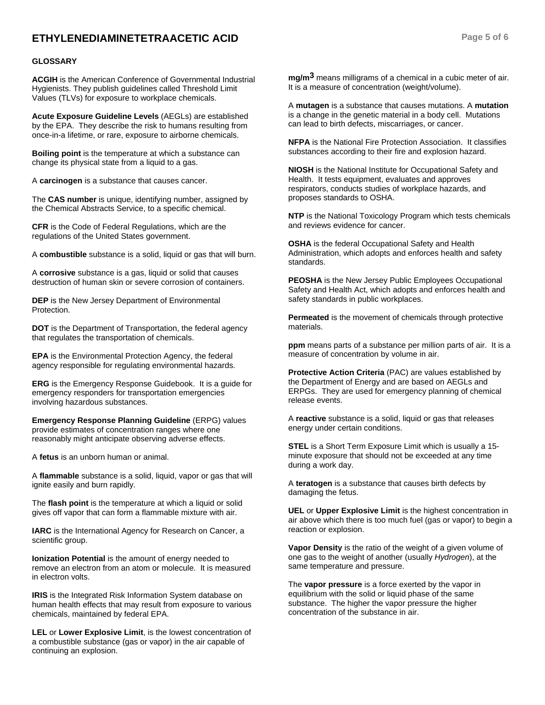# **ETHYLENEDIAMINETETRAACETIC ACID Page 5 of 6**

#### **GLOSSARY**

**ACGIH** is the American Conference of Governmental Industrial Hygienists. They publish guidelines called Threshold Limit Values (TLVs) for exposure to workplace chemicals.

**Acute Exposure Guideline Levels** (AEGLs) are established by the EPA. They describe the risk to humans resulting from once-in-a lifetime, or rare, exposure to airborne chemicals.

**Boiling point** is the temperature at which a substance can change its physical state from a liquid to a gas.

A **carcinogen** is a substance that causes cancer.

The **CAS number** is unique, identifying number, assigned by the Chemical Abstracts Service, to a specific chemical.

**CFR** is the Code of Federal Regulations, which are the regulations of the United States government.

A **combustible** substance is a solid, liquid or gas that will burn.

A **corrosive** substance is a gas, liquid or solid that causes destruction of human skin or severe corrosion of containers.

**DEP** is the New Jersey Department of Environmental Protection.

**DOT** is the Department of Transportation, the federal agency that regulates the transportation of chemicals.

**EPA** is the Environmental Protection Agency, the federal agency responsible for regulating environmental hazards.

**ERG** is the Emergency Response Guidebook. It is a guide for emergency responders for transportation emergencies involving hazardous substances.

**Emergency Response Planning Guideline** (ERPG) values provide estimates of concentration ranges where one reasonably might anticipate observing adverse effects.

A **fetus** is an unborn human or animal.

A **flammable** substance is a solid, liquid, vapor or gas that will ignite easily and burn rapidly.

The **flash point** is the temperature at which a liquid or solid gives off vapor that can form a flammable mixture with air.

**IARC** is the International Agency for Research on Cancer, a scientific group.

**Ionization Potential** is the amount of energy needed to remove an electron from an atom or molecule. It is measured in electron volts.

**IRIS** is the Integrated Risk Information System database on human health effects that may result from exposure to various chemicals, maintained by federal EPA.

**LEL** or **Lower Explosive Limit**, is the lowest concentration of a combustible substance (gas or vapor) in the air capable of continuing an explosion.

**mg/m3** means milligrams of a chemical in a cubic meter of air. It is a measure of concentration (weight/volume).

A **mutagen** is a substance that causes mutations. A **mutation** is a change in the genetic material in a body cell. Mutations can lead to birth defects, miscarriages, or cancer.

**NFPA** is the National Fire Protection Association. It classifies substances according to their fire and explosion hazard.

**NIOSH** is the National Institute for Occupational Safety and Health. It tests equipment, evaluates and approves respirators, conducts studies of workplace hazards, and proposes standards to OSHA.

**NTP** is the National Toxicology Program which tests chemicals and reviews evidence for cancer.

**OSHA** is the federal Occupational Safety and Health Administration, which adopts and enforces health and safety standards.

**PEOSHA** is the New Jersey Public Employees Occupational Safety and Health Act, which adopts and enforces health and safety standards in public workplaces.

**Permeated** is the movement of chemicals through protective materials.

**ppm** means parts of a substance per million parts of air. It is a measure of concentration by volume in air.

**Protective Action Criteria** (PAC) are values established by the Department of Energy and are based on AEGLs and ERPGs. They are used for emergency planning of chemical release events.

A **reactive** substance is a solid, liquid or gas that releases energy under certain conditions.

**STEL** is a Short Term Exposure Limit which is usually a 15 minute exposure that should not be exceeded at any time during a work day.

A **teratogen** is a substance that causes birth defects by damaging the fetus.

**UEL** or **Upper Explosive Limit** is the highest concentration in air above which there is too much fuel (gas or vapor) to begin a reaction or explosion.

**Vapor Density** is the ratio of the weight of a given volume of one gas to the weight of another (usually *Hydrogen*), at the same temperature and pressure.

The **vapor pressure** is a force exerted by the vapor in equilibrium with the solid or liquid phase of the same substance. The higher the vapor pressure the higher concentration of the substance in air.